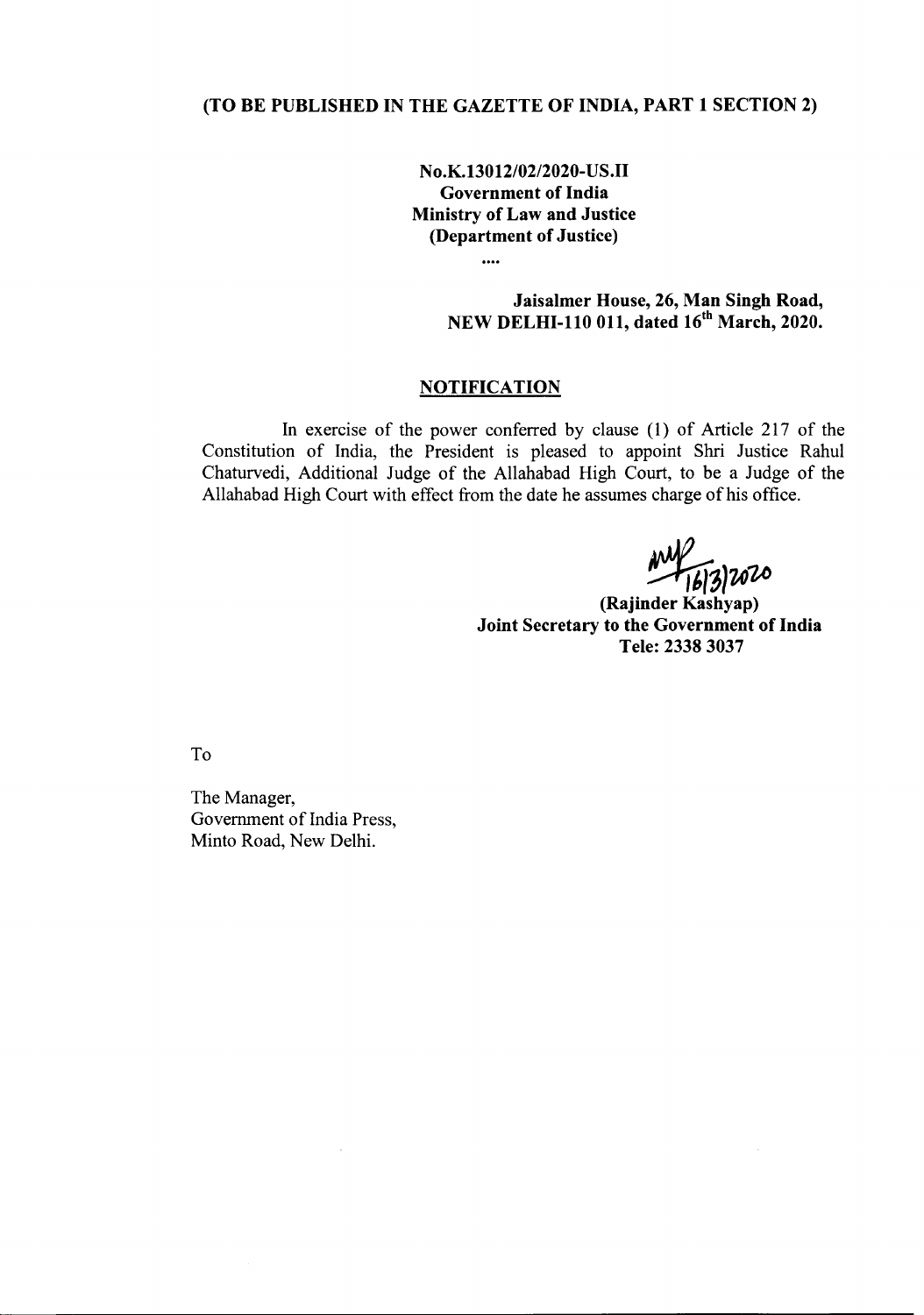## (TO BE PUBLISHED IN THE GAZETTE OF INDIA, PART 1 SECTION 2)

No.K.130 *12/02/2020-* US.II Government of India Ministry of Law and Justice (Department of Justice)

> Jaisalmer House, 26, Man Singh Road, NEW DELHI-110 011, dated 16<sup>th</sup> March, 2020.

## **NOTIFICATION**

 $\cdots$ 

In exercise of the power conferred by clause (1) of Article 217 of the Constitution of India, the President is pleased to appoint Shri Justice Rahul Chaturvedi, Additional Judge of the Allahabad High Court, to be a Judge of the Allahabad High Court with effect from the date he assumes charge of his office.

*~:3IU~*

(Rajinder Kashyap) Joint Secretary to the Government of India Tele: 23383037

To

The Manager, Government of India Press, Minto Road, New Delhi.

 $\hat{\mathcal{L}}$